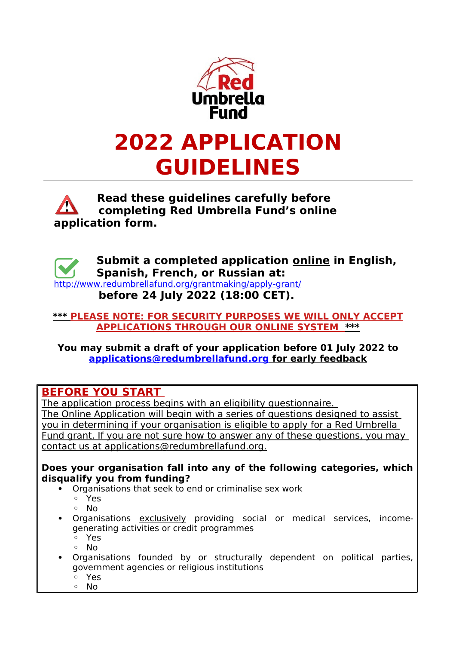

## **Read these guidelines carefully before completing Red Umbrella Fund's online application form.**



### **\*\*\* PLEASE NOTE: FOR SECURITY PURPOSES WE WILL ONLY ACCEPT APPLICATIONS THROUGH OUR ONLINE SYSTEM \*\*\***

 **You may submit a draft of your application before 01 July 2022 to  [applications@redumbrellafund.org](mailto:applications@redumbrellafund.org) for early feedback**

## **BEFORE YOU START**

 The application process begins with an eligibility questionnaire. The Online Application will begin with a series of questions designed to assist you in determining if your organisation is eligible to apply for a Red Umbrella Fund grant. If you are not sure how to answer any of these questions, you may contact us at applications@redumbrellafund.org.

### **Does your organisation fall into any of the following categories, which disqualify you from funding?**

- Organisations that seek to end or criminalise sex work
	- Yes
	- No
- Organisations exclusively providing social or medical services, incomegenerating activities or credit programmes
	- Yes
	- No
- Organisations founded by or structurally dependent on political parties, government agencies or religious institutions
	- Yes
	- No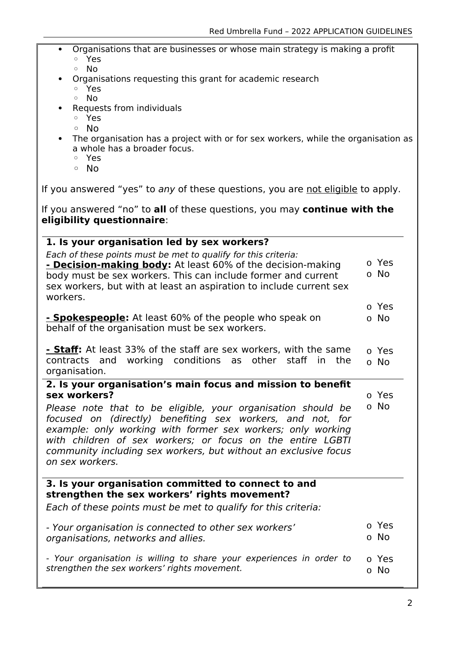- Organisations that are businesses or whose main strategy is making a profit ◦ Yes
	- No
	- Organisations requesting this grant for academic research
		- Yes
		- No
- Requests from individuals
	- Yes
	- No
- The organisation has a project with or for sex workers, while the organisation as a whole has a broader focus.
	- Yes
	- No

If you answered "yes" to any of these questions, you are not eligible to apply.

If you answered "no" to **all** of these questions, you may **continue with the eligibility questionnaire**:

| 1. Is your organisation led by sex workers?                                                                                                                                                                                                                                                                                                                                                                                  |               |  |
|------------------------------------------------------------------------------------------------------------------------------------------------------------------------------------------------------------------------------------------------------------------------------------------------------------------------------------------------------------------------------------------------------------------------------|---------------|--|
| Each of these points must be met to qualify for this criteria:<br>- Decision-making body: At least 60% of the decision-making<br>body must be sex workers. This can include former and current<br>sex workers, but with at least an aspiration to include current sex                                                                                                                                                        | o Yes<br>o No |  |
| workers.<br>- Spokespeople: At least 60% of the people who speak on<br>behalf of the organisation must be sex workers.                                                                                                                                                                                                                                                                                                       | o Yes<br>o No |  |
| <b>- Staff:</b> At least 33% of the staff are sex workers, with the same<br>contracts and working conditions as other staff in<br>the<br>organisation.                                                                                                                                                                                                                                                                       | o Yes<br>o No |  |
| 2. Is your organisation's main focus and mission to benefit<br>sex workers?<br>Please note that to be eligible, your organisation should be<br>focused on (directly) benefiting sex workers, and not, for<br>example: only working with former sex workers; only working<br>with children of sex workers; or focus on the entire LGBTI<br>community including sex workers, but without an exclusive focus<br>on sex workers. | o Yes<br>o No |  |
| 3. Is your organisation committed to connect to and<br>strengthen the sex workers' rights movement?<br>Each of these points must be met to qualify for this criteria:                                                                                                                                                                                                                                                        |               |  |
| - Your organisation is connected to other sex workers'<br>organisations, networks and allies.                                                                                                                                                                                                                                                                                                                                | o Yes<br>o No |  |
| - Your organisation is willing to share your experiences in order to<br>strengthen the sex workers' rights movement.                                                                                                                                                                                                                                                                                                         | o Yes<br>o No |  |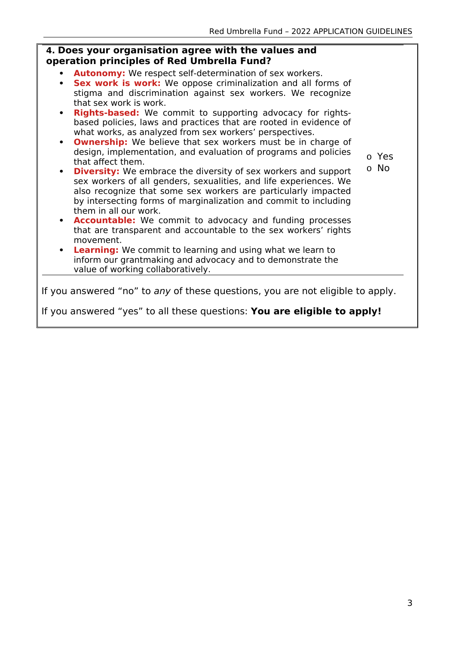# **4. Does your organisation agree with the values and operation principles of Red Umbrella Fund?**

- **Autonomy:** We respect self-determination of sex workers.
- **Sex work is work:** We oppose criminalization and all forms of stigma and discrimination against sex workers. We recognize that sex work is work.
- **Rights-based:** We commit to supporting advocacy for rightsbased policies, laws and practices that are rooted in evidence of what works, as analyzed from sex workers' perspectives.
- **Ownership:** We believe that sex workers must be in charge of design, implementation, and evaluation of programs and policies that affect them.
- o Yes
- o No
- **Diversity:** We embrace the diversity of sex workers and support sex workers of all genders, sexualities, and life experiences. We also recognize that some sex workers are particularly impacted by intersecting forms of marginalization and commit to including them in all our work.
- **Accountable:** We commit to advocacy and funding processes that are transparent and accountable to the sex workers' rights movement.
- **Learning:** We commit to learning and using what we learn to inform our grantmaking and advocacy and to demonstrate the value of working collaboratively.

If you answered "no" to any of these questions, you are not eligible to apply.

If you answered "yes" to all these questions: **You are eligible to apply!**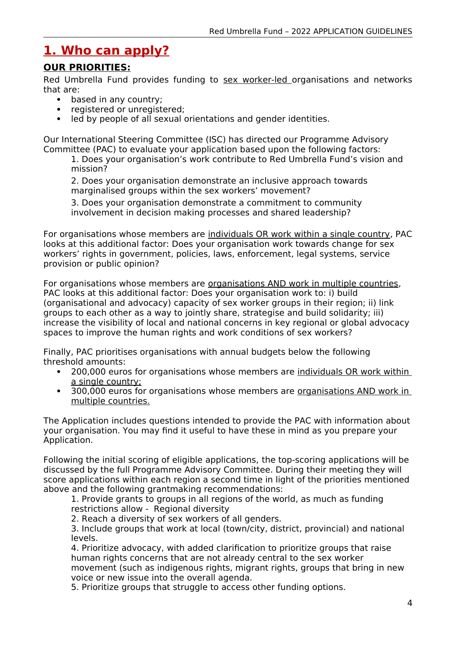# **1. Who can apply?**

### **OUR PRIORITIES:**

Red Umbrella Fund provides funding to sex worker-led organisations and networks that are:

- based in any country:
- registered or unregistered;
- led by people of all sexual orientations and gender identities.

Our International Steering Committee (ISC) has directed our Programme Advisory Committee (PAC) to evaluate your application based upon the following factors:

1. Does your organisation's work contribute to Red Umbrella Fund's vision and mission?

2. Does your organisation demonstrate an inclusive approach towards marginalised groups within the sex workers' movement?

3. Does your organisation demonstrate a commitment to community involvement in decision making processes and shared leadership?

For organisations whose members are individuals OR work within a single country, PAC looks at this additional factor: Does your organisation work towards change for sex workers' rights in government, policies, laws, enforcement, legal systems, service provision or public opinion?

For organisations whose members are organisations AND work in multiple countries, PAC looks at this additional factor: Does your organisation work to: i) build (organisational and advocacy) capacity of sex worker groups in their region; ii) link groups to each other as a way to jointly share, strategise and build solidarity; iii) increase the visibility of local and national concerns in key regional or global advocacy spaces to improve the human rights and work conditions of sex workers?

Finally, PAC prioritises organisations with annual budgets below the following threshold amounts:

- 200,000 euros for organisations whose members are individuals OR work within a single country;
- 300,000 euros for organisations whose members are organisations AND work in multiple countries.

The Application includes questions intended to provide the PAC with information about your organisation. You may find it useful to have these in mind as you prepare your Application.

Following the initial scoring of eligible applications, the top-scoring applications will be discussed by the full Programme Advisory Committee. During their meeting they will score applications within each region a second time in light of the priorities mentioned above and the following grantmaking recommendations:

1. Provide grants to groups in all regions of the world, as much as funding restrictions allow - Regional diversity

2. Reach a diversity of sex workers of all genders.

3. Include groups that work at local (town/city, district, provincial) and national levels.

4. Prioritize advocacy, with added clarification to prioritize groups that raise human rights concerns that are not already central to the sex worker movement (such as indigenous rights, migrant rights, groups that bring in new voice or new issue into the overall agenda.

5. Prioritize groups that struggle to access other funding options.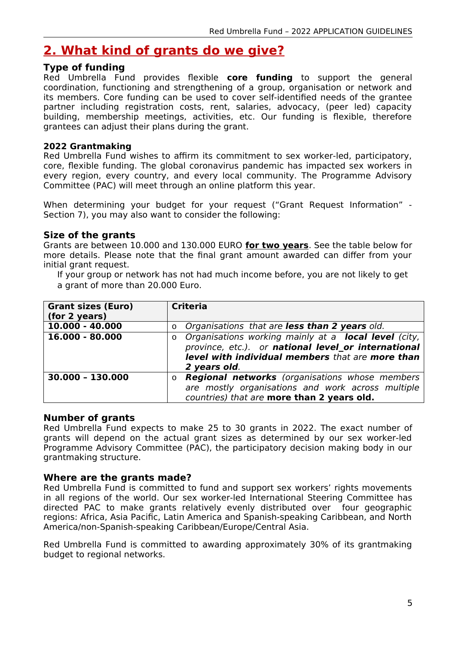# **2. What kind of grants do we give?**

#### **Type of funding**

Red Umbrella Fund provides flexible **core funding** to support the general coordination, functioning and strengthening of a group, organisation or network and its members. Core funding can be used to cover self-identified needs of the grantee partner including registration costs, rent, salaries, advocacy, (peer led) capacity building, membership meetings, activities, etc. Our funding is flexible, therefore grantees can adjust their plans during the grant.

#### **2022 Grantmaking**

Red Umbrella Fund wishes to affirm its commitment to sex worker-led, participatory, core, flexible funding. The global coronavirus pandemic has impacted sex workers in every region, every country, and every local community. The Programme Advisory Committee (PAC) will meet through an online platform this year.

When determining your budget for your request ("Grant Request Information" - Section 7), you may also want to consider the following:

#### **Size of the grants**

Grants are between 10.000 and 130.000 EURO **for two years**. See the table below for more details. Please note that the final grant amount awarded can differ from your initial grant request.

If your group or network has not had much income before, you are not likely to get a grant of more than 20.000 Euro.

| <b>Grant sizes (Euro)</b> | <b>Criteria</b>                                               |
|---------------------------|---------------------------------------------------------------|
| (for 2 years)             |                                                               |
| 10.000 - 40.000           | o Organisations that are less than 2 years old.               |
| 16.000 - 80.000           | o Organisations working mainly at a <b>local level</b> (city, |
|                           | province, etc.). or national level_or international           |
|                           | level with individual members that are more than              |
|                           | 2 years old.                                                  |
| 30.000 - 130.000          | <b>Regional networks</b> (organisations whose members<br>0    |
|                           | are mostly organisations and work across multiple             |
|                           | countries) that are more than 2 years old.                    |

#### **Number of grants**

Red Umbrella Fund expects to make 25 to 30 grants in 2022. The exact number of grants will depend on the actual grant sizes as determined by our sex worker-led Programme Advisory Committee (PAC), the participatory decision making body in our grantmaking structure.

#### **Where are the grants made?**

Red Umbrella Fund is committed to fund and support sex workers' rights movements in all regions of the world. Our sex worker-led International Steering Committee has directed PAC to make grants relatively evenly distributed over four geographic regions: Africa, Asia Pacific, Latin America and Spanish-speaking Caribbean, and North America/non-Spanish-speaking Caribbean/Europe/Central Asia.

Red Umbrella Fund is committed to awarding approximately 30% of its grantmaking budget to regional networks.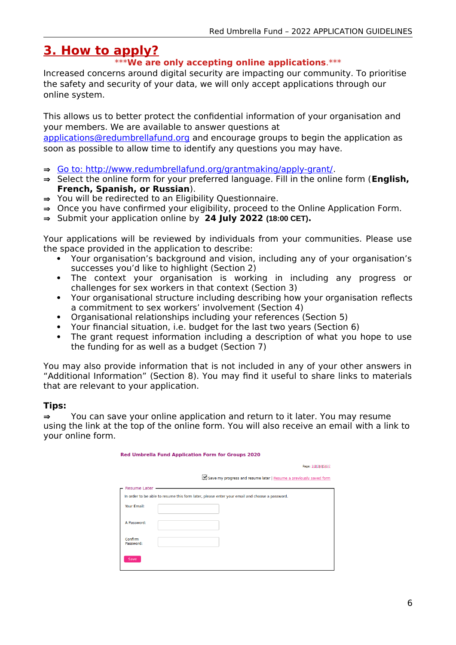# **3. How to apply?**

### \*\*\***We are only accepting online applications**.\*\*\*

Increased concerns around digital security are impacting our community. To prioritise the safety and security of your data, we will only accept applications through our online system.

This allows us to better protect the confidential information of your organisation and your members. We are available to answer questions at

[applications@redumbrellafund.org](mailto:applications@redumbrellafund.org) and encourage groups to begin the application as soon as possible to allow time to identify any questions you may have.

- Go to:<http://www.redumbrellafund.org/grantmaking/apply-grant/>.
- ⇒ Select the online form for your preferred language. Fill in the online form (**English, French, Spanish, or Russian**).
- $\Rightarrow$  You will be redirected to an Eligibility Questionnaire.
- $\Rightarrow$  Once you have confirmed your eligibility, proceed to the Online Application Form.
- ⇒ Submit your application online by 24 July 2022 (18:00 CET).

Your applications will be reviewed by individuals from your communities. Please use the space provided in the application to describe:

- Your organisation's background and vision, including any of your organisation's successes you'd like to highlight (Section 2)
- The context your organisation is working in including any progress or challenges for sex workers in that context (Section 3)
- Your organisational structure including describing how your organisation reflects a commitment to sex workers' involvement (Section 4)
- Organisational relationships including your references (Section 5)
- Your financial situation, i.e. budget for the last two years (Section 6)
- The grant request information including a description of what you hope to use the funding for as well as a budget (Section 7)

You may also provide information that is not included in any of your other answers in "Additional Information" (Section 8). You may find it useful to share links to materials that are relevant to your application.

#### **Tips:**

 $\Rightarrow$  You can save your online application and return to it later. You may resume using the link at the top of the online form. You will also receive an email with a link to your online form.

| Red Umbrella Fund Application Form for Groups 2020 |                                                                                               |  |
|----------------------------------------------------|-----------------------------------------------------------------------------------------------|--|
|                                                    | Page: 1 2 3 4 5 6 7                                                                           |  |
|                                                    | Save my progress and resume later   Resume a previously saved form                            |  |
| <b>Resume Later</b>                                |                                                                                               |  |
|                                                    | In order to be able to resume this form later, please enter your email and choose a password. |  |
| Your Email:                                        |                                                                                               |  |
| A Password:                                        |                                                                                               |  |
| Confirm<br>Password:                               |                                                                                               |  |
| Save                                               |                                                                                               |  |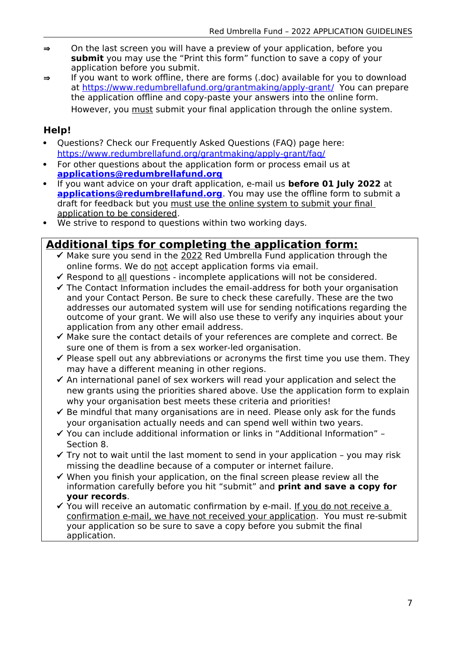- $\Rightarrow$  On the last screen you will have a preview of your application, before you **submit** you may use the "Print this form" function to save a copy of your application before you submit.
- $\Rightarrow$  If you want to work offline, there are forms (.doc) available for you to download at https://www.redumbrellafund.org/grantmaking/apply-grant/ You can prepare the application offline and copy-paste your answers into the online form. However, you must submit your final application through the online system.

## **Help!**

- Questions? Check our Frequently Asked Questions (FAQ) page here: <https://www.redumbrellafund.org/grantmaking/apply-grant/faq/>
- For other questions about the application form or process email us at  **[applications @redumbrellafund.org](mailto:applications@redumbrellafund.org)**
- If you want advice on your draft application, e-mail us **before 01 July 2022** at **applications@redumbrellafund.org**. You may use the offline form to submit a draft for feedback but you must use the online system to submit your final application to be considered.
- We strive to respond to questions within two working days.

## **Additional tips for completing the application form:**

- $\checkmark$  Make sure you send in the 2022 Red Umbrella Fund application through the online forms. We do not accept application forms via email.
- $\checkmark$  Respond to all questions incomplete applications will not be considered.
- $\checkmark$  The Contact Information includes the email-address for both your organisation and your Contact Person. Be sure to check these carefully. These are the two addresses our automated system will use for sending notifications regarding the outcome of your grant. We will also use these to verify any inquiries about your application from any other email address.
- $\checkmark$  Make sure the contact details of your references are complete and correct. Be sure one of them is from a sex worker-led organisation.
- $\checkmark$  Please spell out any abbreviations or acronyms the first time you use them. They may have a different meaning in other regions.
- $\checkmark$  An international panel of sex workers will read your application and select the new grants using the priorities shared above. Use the application form to explain why your organisation best meets these criteria and priorities!
- $\checkmark$  Be mindful that many organisations are in need. Please only ask for the funds your organisation actually needs and can spend well within two years.
- $\checkmark$  You can include additional information or links in "Additional Information" Section 8.
- $\checkmark$  Try not to wait until the last moment to send in your application you may risk missing the deadline because of a computer or internet failure.
- $\checkmark$  When you finish your application, on the final screen please review all the information carefully before you hit "submit" and **print and save a copy for your records**.
- $\checkmark$  You will receive an automatic confirmation by e-mail. If you do not receive a confirmation e-mail, we have not received your application. You must re-submit your application so be sure to save a copy before you submit the final application.